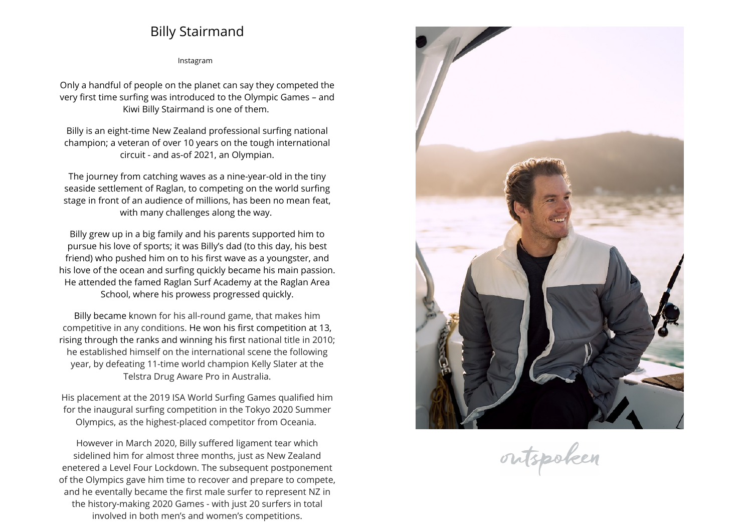## **Billy Stairmand**

**[Instagram](https://www.instagram.com/billystairmand)**

**Only <sup>a</sup> handful of people on the <sup>p</sup>lanet can say they competed the very first time surfing was introduced to the Olympic Games – and Kiwi Billy Stairmand is one of them.** 

**Billy is an eight-time New Zealand professional surfing national champion; <sup>a</sup> veteran of over <sup>10</sup> years on the tough international circuit - and as-of 2021, an Olympian.**

**The journey from catching waves as <sup>a</sup> nine-year-old in the tiny seaside settlement of Raglan, to competing on the world surfing stage in front of an audience of millions, has been no mean feat, with many challenges along the way.** 

**Billy grew up in <sup>a</sup> big family and his parents supported him to pursue his love of sports; it was Billy's dad (to this day, his best friend) who pushed him on to his first wave as <sup>a</sup> youngster, and his love of the ocean and surfing quickly became his main passion. He attended the famed Raglan Surf Academy at the Raglan Area School, where his prowess progressed quickly.**

**Billy became known for his all-round game, that makes him competitive in any conditions. He won his first competition at 13, rising through the ranks and winning his first national title in 2010; he established himself on the international scene the following year, by defeating 11-time world champion Kelly Slater at the Telstra Drug Aware Pro in Australia.**

**His <sup>p</sup>lacement at the <sup>2019</sup> ISA World Surfing Games qualified him for the inaugural surfing competition in the Tokyo <sup>2020</sup> Summer Olympics, as the highest-placed competitor from Oceania.** 

**However in March 2020, Billy suffered ligament tear which sidelined him for almost three months, just as New Zealand enetered <sup>a</sup> Level Four Lockdown. The subsequent postponement of the Olympics gave him time to recover and prepare to compete, and he eventally became the first male surfer to represent NZ inthe history-making <sup>2020</sup> Games - with just <sup>20</sup> surfers in total involved in both men's and women's competitions.**



outspoken